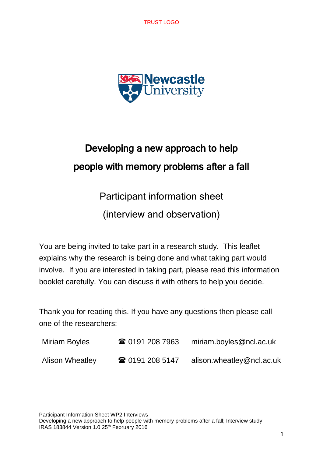TRUST LOGO



# Developing a new approach to help people with memory problems after a fall

Participant information sheet

(interview and observation)

You are being invited to take part in a research study. This leaflet explains why the research is being done and what taking part would involve. If you are interested in taking part, please read this information booklet carefully. You can discuss it with others to help you decide.

Thank you for reading this. If you have any questions then please call one of the researchers:

| Miriam Boyles          | ☎ 0191 208 7963 | miriam.boyles@ncl.ac.uk   |
|------------------------|-----------------|---------------------------|
| <b>Alison Wheatley</b> | ☎ 0191 208 5147 | alison.wheatley@ncl.ac.uk |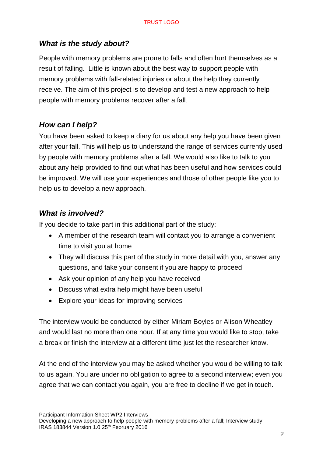## *What is the study about?*

People with memory problems are prone to falls and often hurt themselves as a result of falling. Little is known about the best way to support people with memory problems with fall-related injuries or about the help they currently receive. The aim of this project is to develop and test a new approach to help people with memory problems recover after a fall.

# *How can I help?*

You have been asked to keep a diary for us about any help you have been given after your fall. This will help us to understand the range of services currently used by people with memory problems after a fall. We would also like to talk to you about any help provided to find out what has been useful and how services could be improved. We will use your experiences and those of other people like you to help us to develop a new approach.

# *What is involved?*

If you decide to take part in this additional part of the study:

- A member of the research team will contact you to arrange a convenient time to visit you at home
- They will discuss this part of the study in more detail with you, answer any questions, and take your consent if you are happy to proceed
- Ask your opinion of any help you have received
- Discuss what extra help might have been useful
- Explore your ideas for improving services

The interview would be conducted by either Miriam Boyles or Alison Wheatley and would last no more than one hour. If at any time you would like to stop, take a break or finish the interview at a different time just let the researcher know.

At the end of the interview you may be asked whether you would be willing to talk to us again. You are under no obligation to agree to a second interview; even you agree that we can contact you again, you are free to decline if we get in touch.

Participant Information Sheet WP2 Interviews

Developing a new approach to help people with memory problems after a fall; Interview study IRAS 183844 Version 1.0 25th February 2016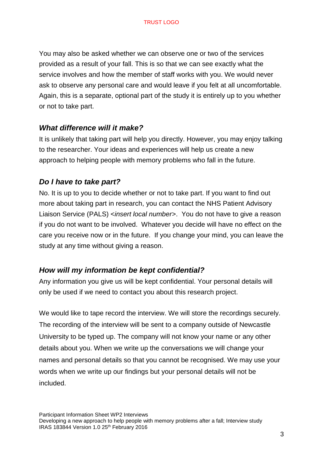You may also be asked whether we can observe one or two of the services provided as a result of your fall. This is so that we can see exactly what the service involves and how the member of staff works with you. We would never ask to observe any personal care and would leave if you felt at all uncomfortable. Again, this is a separate, optional part of the study it is entirely up to you whether or not to take part.

#### *What difference will it make?*

It is unlikely that taking part will help you directly. However, you may enjoy talking to the researcher. Your ideas and experiences will help us create a new approach to helping people with memory problems who fall in the future.

#### *Do I have to take part?*

No. It is up to you to decide whether or not to take part. If you want to find out more about taking part in research, you can contact the NHS Patient Advisory Liaison Service (PALS) <*insert local number*>. You do not have to give a reason if you do not want to be involved. Whatever you decide will have no effect on the care you receive now or in the future. If you change your mind, you can leave the study at any time without giving a reason.

#### *How will my information be kept confidential?*

Any information you give us will be kept confidential. Your personal details will only be used if we need to contact you about this research project.

We would like to tape record the interview. We will store the recordings securely. The recording of the interview will be sent to a company outside of Newcastle University to be typed up. The company will not know your name or any other details about you. When we write up the conversations we will change your names and personal details so that you cannot be recognised. We may use your words when we write up our findings but your personal details will not be included.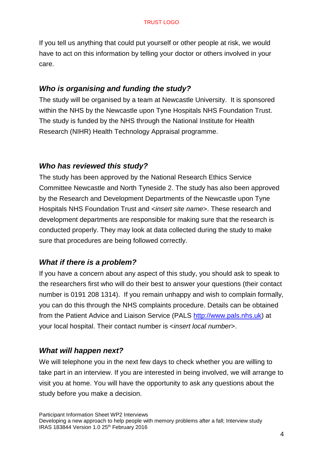If you tell us anything that could put yourself or other people at risk, we would have to act on this information by telling your doctor or others involved in your care.

#### *Who is organising and funding the study?*

The study will be organised by a team at Newcastle University. It is sponsored within the NHS by the Newcastle upon Tyne Hospitals NHS Foundation Trust. The study is funded by the NHS through the National Institute for Health Research (NIHR) Health Technology Appraisal programme.

#### *Who has reviewed this study?*

The study has been approved by the National Research Ethics Service Committee Newcastle and North Tyneside 2. The study has also been approved by the Research and Development Departments of the Newcastle upon Tyne Hospitals NHS Foundation Trust and <*insert site name*>. These research and development departments are responsible for making sure that the research is conducted properly. They may look at data collected during the study to make sure that procedures are being followed correctly.

#### *What if there is a problem?*

If you have a concern about any aspect of this study, you should ask to speak to the researchers first who will do their best to answer your questions (their contact number is 0191 208 1314). If you remain unhappy and wish to complain formally, you can do this through the NHS complaints procedure. Details can be obtained from the Patient Advice and Liaison Service (PALS [http://www.pals.nhs.uk\)](http://www.pals.nhs.uk/) at your local hospital. Their contact number is <*insert local number*>.

#### *What will happen next?*

We will telephone you in the next few days to check whether you are willing to take part in an interview. If you are interested in being involved, we will arrange to visit you at home. You will have the opportunity to ask any questions about the study before you make a decision.